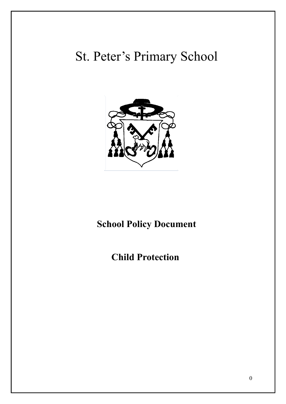# St. Peter's Primary School



## **School Policy Document**

### **Child Protection**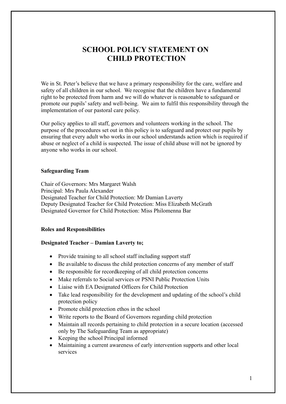### **SCHOOL POLICY STATEMENT ON CHILD PROTECTION**

We in St. Peter's believe that we have a primary responsibility for the care, welfare and safety of all children in our school. We recognise that the children have a fundamental right to be protected from harm and we will do whatever is reasonable to safeguard or promote our pupils' safety and well-being. We aim to fulfil this responsibility through the implementation of our pastoral care policy.

Our policy applies to all staff, governors and volunteers working in the school. The purpose of the procedures set out in this policy is to safeguard and protect our pupils by ensuring that every adult who works in our school understands action which is required if abuse or neglect of a child is suspected. The issue of child abuse will not be ignored by anyone who works in our school.

#### **Safeguarding Team**

Chair of Governors: Mrs Margaret Walsh Principal: Mrs Paula Alexander Designated Teacher for Child Protection: Mr Damian Laverty Deputy Designated Teacher for Child Protection: Miss Elizabeth McGrath Designated Governor for Child Protection: Miss Philomenna Bar

#### **Roles and Responsibilities**

#### **Designated Teacher – Damian Laverty to;**

- Provide training to all school staff including support staff
- Be available to discuss the child protection concerns of any member of staff
- Be responsible for recordkeeping of all child protection concerns
- Make referrals to Social services or PSNI Public Protection Units
- Liaise with EA Designated Officers for Child Protection
- Take lead responsibility for the development and updating of the school's child protection policy
- Promote child protection ethos in the school
- Write reports to the Board of Governors regarding child protection
- Maintain all records pertaining to child protection in a secure location (accessed only by The Safeguarding Team as appropriate)
- Keeping the school Principal informed
- Maintaining a current awareness of early intervention supports and other local services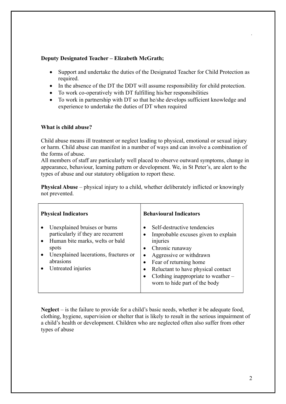#### **Deputy Designated Teacher – Elizabeth McGrath;**

- Support and undertake the duties of the Designated Teacher for Child Protection as required.
- In the absence of the DT the DDT will assume responsibility for child protection.
- To work co-operatively with DT fulfilling his/her responsibilities
- To work in partnership with DT so that he/she develops sufficient knowledge and experience to undertake the duties of DT when required

#### **What is child abuse?**

Child abuse means ill treatment or neglect leading to physical, emotional or sexual injury or harm. Child abuse can manifest in a number of ways and can involve a combination of the forms of abuse.

All members of staff are particularly well placed to observe outward symptoms, change in appearance, behaviour, learning pattern or development. We, in St Peter's, are alert to the types of abuse and our statutory obligation to report these.

**Physical Abuse** – physical injury to a child, whether deliberately inflicted or knowingly not prevented.

| <b>Physical Indicators</b>                                                                                                                                                                 | <b>Behavioural Indicators</b>                                                                                                                                                                                                                                                                    |
|--------------------------------------------------------------------------------------------------------------------------------------------------------------------------------------------|--------------------------------------------------------------------------------------------------------------------------------------------------------------------------------------------------------------------------------------------------------------------------------------------------|
| Unexplained bruises or burns<br>particularly if they are recurrent<br>Human bite marks, welts or bald<br>spots<br>Unexplained lacerations, fractures or<br>abrasions<br>Untreated injuries | Self-destructive tendencies<br>$\bullet$<br>Improbable excuses given to explain<br>injuries<br>Chronic runaway<br>Aggressive or withdrawn<br>Fear of returning home<br>$\bullet$<br>Reluctant to have physical contact<br>Clothing inappropriate to weather $-$<br>worn to hide part of the body |

**Neglect** – is the failure to provide for a child's basic needs, whether it be adequate food, clothing, hygiene, supervision or shelter that is likely to result in the serious impairment of a child's health or development. Children who are neglected often also suffer from other types of abuse

.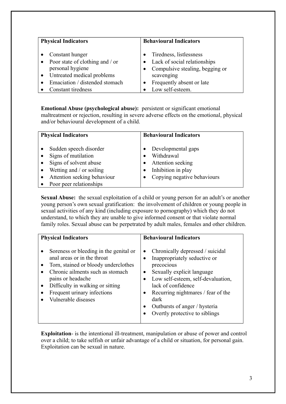| <b>Physical Indicators</b>      | <b>Behavioural Indicators</b>     |
|---------------------------------|-----------------------------------|
| Constant hunger                 | Tiredness, listlessness           |
| Poor state of clothing and / or | • Lack of social relationships    |
| personal hygiene                | • Compulsive stealing, begging or |
| • Untreated medical problems    | scavenging                        |
| Emaciation / distended stomach  | Frequently absent or late         |
| Constant tiredness              | Low self-esteem.                  |

**Emotional Abuse (psychological abuse):** persistent or significant emotional maltreatment or rejection, resulting in severe adverse effects on the emotional, physical and/or behavioural development of a child.

| <b>Physical Indicators</b>                    | <b>Behavioural Indicators</b>    |
|-----------------------------------------------|----------------------------------|
| Sudden speech disorder<br>Signs of mutilation | Developmental gaps<br>Withdrawal |
| Signs of solvent abuse                        | Attention seeking                |
| Wetting and / or soiling                      | Inhibition in play               |
| Attention seeking behaviour                   | Copying negative behaviours      |
| Poor peer relationships                       |                                  |

**Sexual Abuse:** the sexual exploitation of a child or young person for an adult's or another young person's own sexual gratification: the involvement of children or young people in sexual activities of any kind (including exposure to pornography) which they do not understand, to which they are unable to give informed consent or that violate normal family roles. Sexual abuse can be perpetrated by adult males, females and other children.

| <b>Physical Indicators</b>                                                                                                                                                                                                                                       | <b>Behavioural Indicators</b>                                                                                                                                                                                                                                                                                         |
|------------------------------------------------------------------------------------------------------------------------------------------------------------------------------------------------------------------------------------------------------------------|-----------------------------------------------------------------------------------------------------------------------------------------------------------------------------------------------------------------------------------------------------------------------------------------------------------------------|
| Soreness or bleeding in the genital or<br>anal areas or in the throat<br>Torn, stained or bloody underclothes<br>Chronic ailments such as stomach<br>pains or headache<br>Difficulty in walking or sitting<br>Frequent urinary infections<br>Vulnerable diseases | Chronically depressed / suicidal<br>$\bullet$<br>Inappropriately seductive or<br>precocious<br>Sexually explicit language<br>$\bullet$<br>Low self-esteem, self-devaluation,<br>lack of confidence<br>• Recurring nightmares / fear of the<br>dark<br>Outbursts of anger / hysteria<br>Overtly protective to siblings |

**Exploitation**- is the intentional ill-treatment, manipulation or abuse of power and control over a child; to take selfish or unfair advantage of a child or situation, for personal gain. Exploitation can be sexual in nature.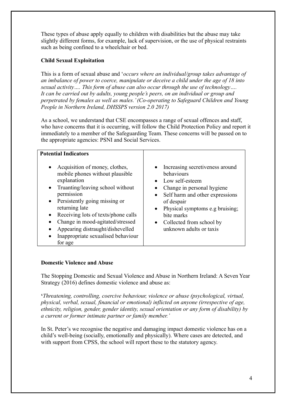These types of abuse apply equally to children with disabilities but the abuse may take slightly different forms, for example, lack of supervision, or the use of physical restraints such as being confined to a wheelchair or bed.

#### **Child Sexual Exploitation**

This is a form of sexual abuse and '*occurs where an individual/group takes advantage of an imbalance of power to coerce, manipulate or deceive a child under the age of 18 into sexual activity…. This form of abuse can also occur through the use of technology…. It can be carried out by adults, young people's peers, on an individual or group and perpetrated by females as well as males.' (Co-operating to Safeguard Children and Young People in Northern Ireland, DHSSPS version 2.0 2017)*

As a school, we understand that CSE encompasses a range of sexual offences and staff, who have concerns that it is occurring, will follow the Child Protection Policy and report it immediately to a member of the Safeguarding Team. These concerns will be passed on to the appropriate agencies: PSNI and Social Services.

| <b>Potential Indicators</b>                                                                                                                                                                                                                                                                                                                                                                               |                                                                                                                                                                                                                                                                              |
|-----------------------------------------------------------------------------------------------------------------------------------------------------------------------------------------------------------------------------------------------------------------------------------------------------------------------------------------------------------------------------------------------------------|------------------------------------------------------------------------------------------------------------------------------------------------------------------------------------------------------------------------------------------------------------------------------|
| Acquisition of money, clothes,<br>$\bullet$<br>mobile phones without plausible<br>explanation<br>Truanting/leaving school without<br>$\bullet$<br>permission<br>Persistently going missing or<br>$\bullet$<br>returning late<br>Receiving lots of texts/phone calls<br>$\bullet$<br>Change in mood-agitated/stressed<br>Appearing distraught/dishevelled<br>Inappropriate sexualised behaviour<br>for age | • Increasing secretiveness around<br>behaviours<br>• Low self-esteem<br>Change in personal hygiene<br>Self harm and other expressions<br>$\bullet$<br>of despair<br>• Physical symptoms e.g bruising;<br>bite marks<br>• Collected from school by<br>unknown adults or taxis |

#### **Domestic Violence and Abuse**

The Stopping Domestic and Sexual Violence and Abuse in Northern Ireland: A Seven Year Strategy (2016) defines domestic violence and abuse as:

**'***Threatening, controlling, coercive behaviour, violence or abuse (psychological, virtual, physical, verbal, sexual, financial or emotional) inflicted on anyone (irrespective of age, ethnicity, religion, gender, gender identity, sexual orientation or any form of disability) by a current or former intimate partner or family member.'*

In St. Peter's we recognise the negative and damaging impact domestic violence has on a child's well-being (socially, emotionally and physically). Where cases are detected, and with support from CPSS, the school will report these to the statutory agency.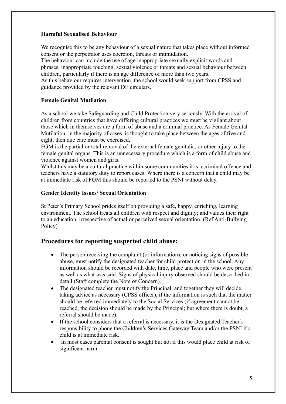#### **Harmful Sexualised Behaviour**

We recognise this to be any behaviour of a sexual nature that takes place without informed consent or the perpetrator uses coercion, threats or intimidation.

The behaviour can include the use of age inappropriate sexually explicit words and phrases, inappropriate touching, sexual violence or threats and sexual behaviour between children, particularly if there is an age difference of more than two years.

As this behaviour requires intervention, the school would seek support from CPSS and guidance provided by the relevant DE circulars.

#### **Female Genital Mutilation**

As a school we take Safeguarding and Child Protection very seriously. With the arrival of children from countries that have differing cultural practices we must be vigilant about those which in themselves are a form of abuse and a criminal practice. As Female Genital Mutilation, in the majority of cases, is thought to take place between the ages of five and eight, then due care must be exercised.

FGM is the partial or total removal of the external female genitalia, or other injury to the female genital organs. This is an unnecessary procedure which is a form of child abuse and violence against women and girls.

Whilst this may be a cultural practice within some communities it is a criminal offence and teachers have a statutory duty to report cases. Where there is a concern that a child may be at immediate risk of FGM this should be reported to the PSNI without delay.

#### **Gender Identity Issues/ Sexual Orientation**

St Peter's Primary School prides itself on providing a safe, happy, enriching, learning environment. The school treats all children with respect and dignity; and values their right to an education, irrespective of actual or perceived sexual orientation. (Ref Anti-Bullying Policy)

#### **Procedures for reporting suspected child abuse;**

- The person receiving the complaint (or information), or noticing signs of possible abuse, must notify the designated teacher for child protection in the school. Any information should be recorded with date, time, place and people who were present as well as what was said. Signs of physical injury observed should be described in detail (Staff complete the Note of Concern).
- The designated teacher must notify the Principal, and together they will decide, taking advice as necessary (CPSS officer), if the information is such that the matter should be referred immediately to the Social Services (if agreement cannot be reached, the decision should be made by the Principal; but where there is doubt, a referral should be made).
- If the school considers that a referral is necessary, it is the Designated Teacher's responsibility to phone the Children's Services Gateway Team and/or the PSNI if a child is at immediate risk.
- In most cases parental consent is sought but not if this would place child at risk of significant harm.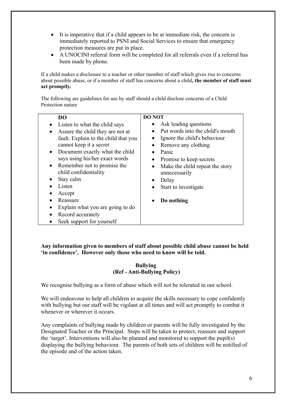- It is imperative that if a child appears to be at immediate risk, the concern is immediately reported to PSNI and Social Services to ensure that emergency protection measures are put in place.
- A UNOCINI referral form will be completed for all referrals even if a referral has been made by phone.

If a child makes a disclosure to a teacher or other member of staff which gives rise to concerns about possible abuse, or if a member of staff has concerns about a child**, the member of staff must act promptly.** 

The following are guidelines for use by staff should a child disclose concerns of a Child Protection nature

| DO                                                                                                                                                                         | <b>DO NOT</b>                                                                                                               |
|----------------------------------------------------------------------------------------------------------------------------------------------------------------------------|-----------------------------------------------------------------------------------------------------------------------------|
| Listen to what the child says                                                                                                                                              | Ask leading questions                                                                                                       |
| Assure the child they are not at<br>fault. Explain to the child that you<br>cannot keep it a secret<br>• Document exactly what the child<br>says using his/her exact words | Put words into the child's mouth<br>Ignore the child's behaviour<br>Remove any clothing<br>Panic<br>Promise to keep secrets |
| • Remember not to promise the<br>child confidentiality                                                                                                                     | Make the child repeat the story<br>unnecessarily                                                                            |
| Stay calm                                                                                                                                                                  | Delay                                                                                                                       |
| Listen                                                                                                                                                                     | Start to investigate                                                                                                        |
| Accept                                                                                                                                                                     |                                                                                                                             |
| Reassure                                                                                                                                                                   | Do nothing                                                                                                                  |
| Explain what you are going to do                                                                                                                                           |                                                                                                                             |
| Record accurately                                                                                                                                                          |                                                                                                                             |
| Seek support for yourself                                                                                                                                                  |                                                                                                                             |

**Any information given to members of staff about possible child abuse cannot be held 'in confidence'. However only those who need to know will be told.**

#### **Bullying (Ref - Anti-Bullying Policy)**

We recognise bullying as a form of abuse which will not be tolerated in our school.

We will endeavour to help all children to acquire the skills necessary to cope confidently with bullying but our staff will be vigilant at all times and will act promptly to combat it whenever or wherever it occurs.

Any complaints of bullying made by children or parents will be fully investigated by the Designated Teacher or the Principal. Steps will be taken to protect, reassure and support the 'target'. Interventions will also be planned and monitored to support the pupil(s) displaying the bullying behaviour. The parents of both sets of children will be notified of the episode and of the action taken.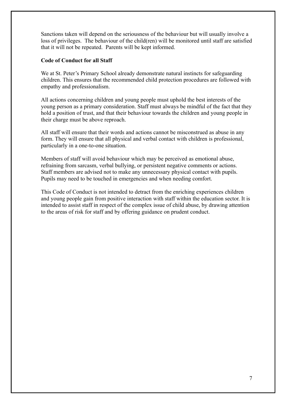Sanctions taken will depend on the seriousness of the behaviour but will usually involve a loss of privileges. The behaviour of the child(ren) will be monitored until staff are satisfied that it will not be repeated. Parents will be kept informed.

#### **Code of Conduct for all Staff**

We at St. Peter's Primary School already demonstrate natural instincts for safeguarding children. This ensures that the recommended child protection procedures are followed with empathy and professionalism.

All actions concerning children and young people must uphold the best interests of the young person as a primary consideration. Staff must always be mindful of the fact that they hold a position of trust, and that their behaviour towards the children and young people in their charge must be above reproach.

All staff will ensure that their words and actions cannot be misconstrued as abuse in any form. They will ensure that all physical and verbal contact with children is professional, particularly in a one-to-one situation.

Members of staff will avoid behaviour which may be perceived as emotional abuse, refraining from sarcasm, verbal bullying, or persistent negative comments or actions. Staff members are advised not to make any unnecessary physical contact with pupils. Pupils may need to be touched in emergencies and when needing comfort.

This Code of Conduct is not intended to detract from the enriching experiences children and young people gain from positive interaction with staff within the education sector. It is intended to assist staff in respect of the complex issue of child abuse, by drawing attention to the areas of risk for staff and by offering guidance on prudent conduct.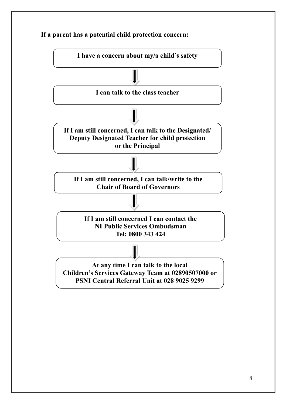

**If a parent has a potential child protection concern:**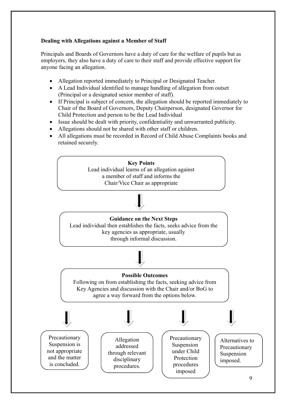#### **Dealing with Allegations against a Member of Staff**

Principals and Boards of Governors have a duty of care for the welfare of pupils but as employers, they also have a duty of care to their staff and provide effective support for anyone facing an allegation.

- Allegation reported immediately to Principal or Designated Teacher.
- A Lead Individual identified to manage handling of allegation from outset (Principal or a designated senior member of staff).
- If Principal is subject of concern, the allegation should be reported immediately to Chair of the Board of Governors, Deputy Chairperson, designated Governor for Child Protection and person to be the Lead Individual
- Issue should be dealt with priority, confidentiality and unwarranted publicity.
- Allegations should not be shared with other staff or children.
- All allegations must be recorded in Record of Child Abuse Complaints books and retained securely.

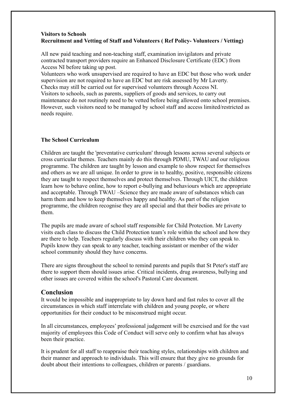#### **Visitors to Schools Recruitment and Vetting of Staff and Volunteers ( Ref Policy- Volunteers / Vetting)**

All new paid teaching and non-teaching staff, examination invigilators and private contracted transport providers require an Enhanced Disclosure Certificate (EDC) from Access NI before taking up post.

Volunteers who work unsupervised are required to have an EDC but those who work under supervision are not required to have an EDC but are risk assessed by Mr Laverty. Checks may still be carried out for supervised volunteers through Access NI. Visitors to schools, such as parents, suppliers of goods and services, to carry out maintenance do not routinely need to be vetted before being allowed onto school premises. However, such visitors need to be managed by school staff and access limited/restricted as needs require.

#### **The School Curriculum**

Children are taught the 'preventative curriculum' through lessons across several subjects or cross curricular themes. Teachers mainly do this through PDMU, TWAU and our religious programme. The children are taught by lesson and example to show respect for themselves and others as we are all unique. In order to grow in to healthy, positive, responsible citizens they are taught to respect themselves and protect themselves. Through UICT, the children learn how to behave online, how to report e-bullying and behaviours which are appropriate and acceptable. Through TWAU –Science they are made aware of substances which can harm them and how to keep themselves happy and healthy. As part of the religion programme, the children recognise they are all special and that their bodies are private to them.

The pupils are made aware of school staff responsible for Child Protection. Mr Laverty visits each class to discuss the Child Protection team's role within the school and how they are there to help. Teachers regularly discuss with their children who they can speak to. Pupils know they can speak to any teacher, teaching assistant or member of the wider school community should they have concerns.

There are signs throughout the school to remind parents and pupils that St Peter's staff are there to support them should issues arise. Critical incidents, drug awareness, bullying and other issues are covered within the school's Pastoral Care document.

#### **Conclusion**

It would be impossible and inappropriate to lay down hard and fast rules to cover all the circumstances in which staff interrelate with children and young people, or where opportunities for their conduct to be misconstrued might occur.

In all circumstances, employees' professional judgement will be exercised and for the vast majority of employees this Code of Conduct will serve only to confirm what has always been their practice.

It is prudent for all staff to reappraise their teaching styles, relationships with children and their manner and approach to individuals. This will ensure that they give no grounds for doubt about their intentions to colleagues, children or parents / guardians.